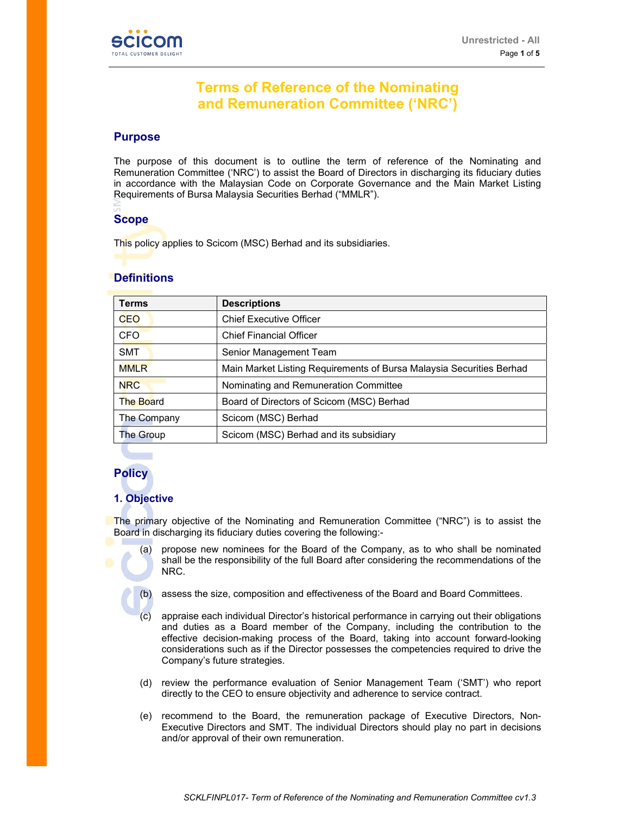

# **Terms of Reference of the Nominating and Remuneration Committee ('NRC')**

## **Purpose**

The purpose of this document is to outline the term of reference of the Nominating and Remuneration Committee ('NRC') to assist the Board of Directors in discharging its fiduciary duties in accordance with the Malaysian Code on Corporate Governance and the Main Market Listing Requirements of Bursa Malaysia Securities Berhad ("MMLR").

# **Scope**

This policy applies to Scicom (MSC) Berhad and its subsidiaries.

# **Definitions**

| <b>Terms</b>     | <b>Descriptions</b>                                                  |
|------------------|----------------------------------------------------------------------|
| CEO              | <b>Chief Executive Officer</b>                                       |
| <b>CFO</b>       | <b>Chief Financial Officer</b>                                       |
| <b>SMT</b>       | Senior Management Team                                               |
| <b>MMLR</b>      | Main Market Listing Requirements of Bursa Malaysia Securities Berhad |
| <b>NRC</b>       | Nominating and Remuneration Committee                                |
| <b>The Board</b> | Board of Directors of Scicom (MSC) Berhad                            |
| The Company      | Scicom (MSC) Berhad                                                  |
| <b>The Group</b> | Scicom (MSC) Berhad and its subsidiary                               |

# **Policy**

# **1. Objective**

The primary objective of the Nominating and Remuneration Committee ("NRC") is to assist the Board in discharging its fiduciary duties covering the following:-

- (a) propose new nominees for the Board of the Company, as to who shall be nominated shall be the responsibility of the full Board after considering the recommendations of the NRC.
- - (b) assess the size, composition and effectiveness of the Board and Board Committees.
	- (c) appraise each individual Director's historical performance in carrying out their obligations and duties as a Board member of the Company, including the contribution to the effective decision-making process of the Board, taking into account forward-looking considerations such as if the Director possesses the competencies required to drive the Company's future strategies.
	- (d) review the performance evaluation of Senior Management Team ('SMT') who report directly to the CEO to ensure objectivity and adherence to service contract.
	- (e) recommend to the Board, the remuneration package of Executive Directors, Non-Executive Directors and SMT. The individual Directors should play no part in decisions and/or approval of their own remuneration.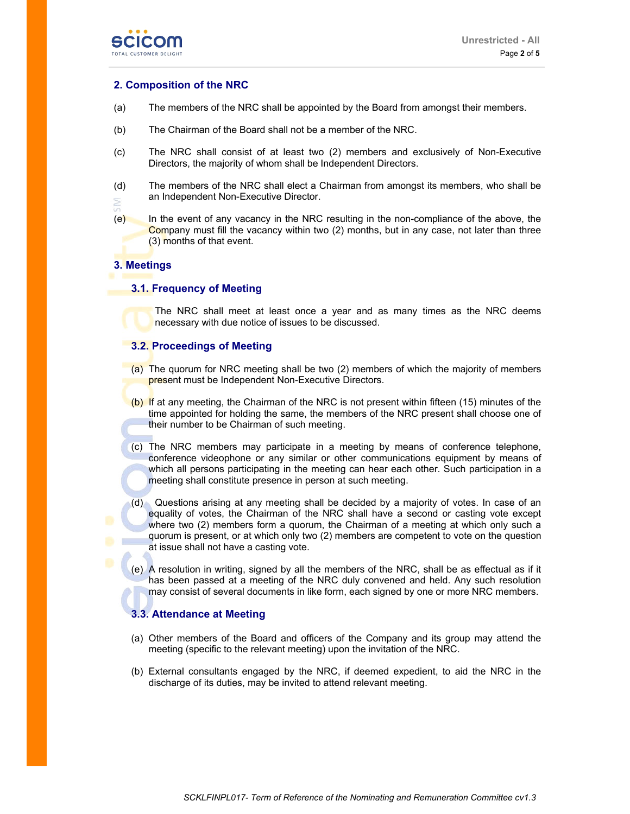

## **2. Composition of the NRC**

- (a) The members of the NRC shall be appointed by the Board from amongst their members.
- (b) The Chairman of the Board shall not be a member of the NRC.
- (c) The NRC shall consist of at least two (2) members and exclusively of Non-Executive Directors, the majority of whom shall be Independent Directors.
- (d) The members of the NRC shall elect a Chairman from amongst its members, who shall be an Independent Non-Executive Director. È
- (e) In the event of any vacancy in the NRC resulting in the non-compliance of the above, the Company must fill the vacancy within two (2) months, but in any case, not later than three (3) months of that event.

## **3. Meetings**

#### **3.1. Frequency of Meeting**

The NRC shall meet at least once a year and as many times as the NRC deems necessary with due notice of issues to be discussed.

#### **3.2. Proceedings of Meeting**

- (a) The quorum for NRC meeting shall be two (2) members of which the majority of members present must be Independent Non-Executive Directors.
- (b) If at any meeting, the Chairman of the NRC is not present within fifteen (15) minutes of the time appointed for holding the same, the members of the NRC present shall choose one of their number to be Chairman of such meeting.
- (c) The NRC members may participate in a meeting by means of conference telephone, conference videophone or any similar or other communications equipment by means of which all persons participating in the meeting can hear each other. Such participation in a meeting shall constitute presence in person at such meeting.
- (d) Questions arising at any meeting shall be decided by a majority of votes. In case of an equality of votes, the Chairman of the NRC shall have a second or casting vote except where two (2) members form a quorum, the Chairman of a meeting at which only such a quorum is present, or at which only two (2) members are competent to vote on the question at issue shall not have a casting vote.
- (e) A resolution in writing, signed by all the members of the NRC, shall be as effectual as if it has been passed at a meeting of the NRC duly convened and held. Any such resolution may consist of several documents in like form, each signed by one or more NRC members.

#### **3.3. Attendance at Meeting**

- (a) Other members of the Board and officers of the Company and its group may attend the meeting (specific to the relevant meeting) upon the invitation of the NRC.
- (b) External consultants engaged by the NRC, if deemed expedient, to aid the NRC in the discharge of its duties, may be invited to attend relevant meeting.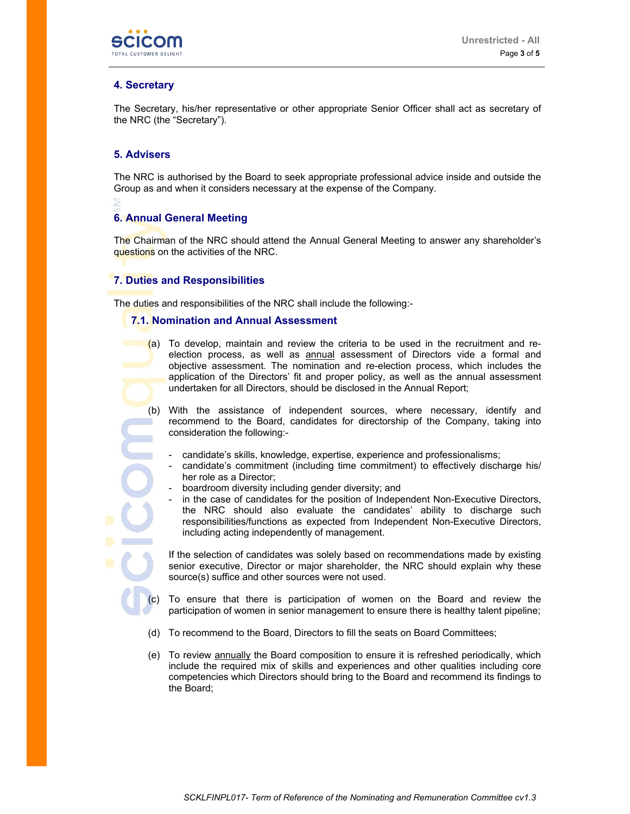

## **4. Secretary**

The Secretary, his/her representative or other appropriate Senior Officer shall act as secretary of the NRC (the "Secretary").

### **5. Advisers**

The NRC is authorised by the Board to seek appropriate professional advice inside and outside the Group as and when it considers necessary at the expense of the Company.

# **6. Annual General Meeting**

The Chairman of the NRC should attend the Annual General Meeting to answer any shareholder's questions on the activities of the NRC.

## **7. Duties and Responsibilities**

The duties and responsibilities of the NRC shall include the following:-

#### **7.1. Nomination and Annual Assessment**

- (a) To develop, maintain and review the criteria to be used in the recruitment and reelection process, as well as annual assessment of Directors vide a formal and objective assessment. The nomination and re-election process, which includes the application of the Directors' fit and proper policy, as well as the annual assessment undertaken for all Directors, should be disclosed in the Annual Report;
- (b) With the assistance of independent sources, where necessary, identify and recommend to the Board, candidates for directorship of the Company, taking into consideration the following:
	- candidate's skills, knowledge, expertise, experience and professionalisms;
	- candidate's commitment (including time commitment) to effectively discharge his/ her role as a Director;
	- boardroom diversity including gender diversity; and
	- in the case of candidates for the position of Independent Non-Executive Directors, the NRC should also evaluate the candidates' ability to discharge such responsibilities/functions as expected from Independent Non-Executive Directors, including acting independently of management.

If the selection of candidates was solely based on recommendations made by existing senior executive, Director or major shareholder, the NRC should explain why these source(s) suffice and other sources were not used.

- To ensure that there is participation of women on the Board and review the participation of women in senior management to ensure there is healthy talent pipeline;
- (d) To recommend to the Board, Directors to fill the seats on Board Committees;
- (e) To review annually the Board composition to ensure it is refreshed periodically, which include the required mix of skills and experiences and other qualities including core competencies which Directors should bring to the Board and recommend its findings to the Board;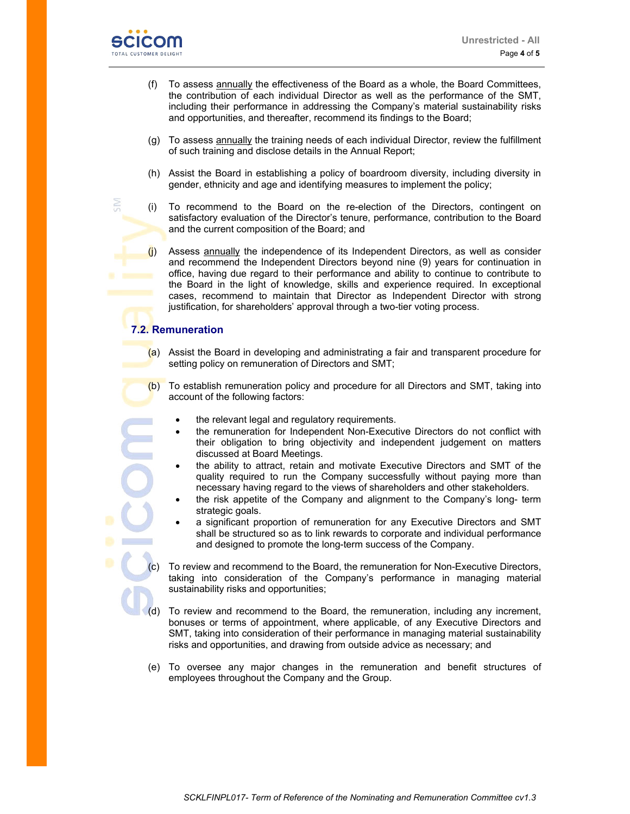

č

- (f) To assess annually the effectiveness of the Board as a whole, the Board Committees, the contribution of each individual Director as well as the performance of the SMT, including their performance in addressing the Company's material sustainability risks and opportunities, and thereafter, recommend its findings to the Board;
- (g) To assess annually the training needs of each individual Director, review the fulfillment of such training and disclose details in the Annual Report;
- (h) Assist the Board in establishing a policy of boardroom diversity, including diversity in gender, ethnicity and age and identifying measures to implement the policy;
- (i) To recommend to the Board on the re-election of the Directors, contingent on satisfactory evaluation of the Director's tenure, performance, contribution to the Board and the current composition of the Board; and
- $(i)$  Assess annually the independence of its Independent Directors, as well as consider and recommend the Independent Directors beyond nine (9) years for continuation in office, having due regard to their performance and ability to continue to contribute to the Board in the light of knowledge, skills and experience required. In exceptional cases, recommend to maintain that Director as Independent Director with strong justification, for shareholders' approval through a two-tier voting process.

# **7.2. Remuneration**

- (a) Assist the Board in developing and administrating a fair and transparent procedure for setting policy on remuneration of Directors and SMT;
- (b) To establish remuneration policy and procedure for all Directors and SMT, taking into account of the following factors:
	- the relevant legal and regulatory requirements.
	- the remuneration for Independent Non-Executive Directors do not conflict with their obligation to bring objectivity and independent judgement on matters discussed at Board Meetings.
	- the ability to attract, retain and motivate Executive Directors and SMT of the quality required to run the Company successfully without paying more than necessary having regard to the views of shareholders and other stakeholders.
	- the risk appetite of the Company and alignment to the Company's long- term strategic goals.
	- a significant proportion of remuneration for any Executive Directors and SMT shall be structured so as to link rewards to corporate and individual performance and designed to promote the long-term success of the Company.
	- To review and recommend to the Board, the remuneration for Non-Executive Directors, taking into consideration of the Company's performance in managing material sustainability risks and opportunities;
- (d) To review and recommend to the Board, the remuneration, including any increment, bonuses or terms of appointment, where applicable, of any Executive Directors and SMT, taking into consideration of their performance in managing material sustainability risks and opportunities, and drawing from outside advice as necessary; and
- (e) To oversee any major changes in the remuneration and benefit structures of employees throughout the Company and the Group.